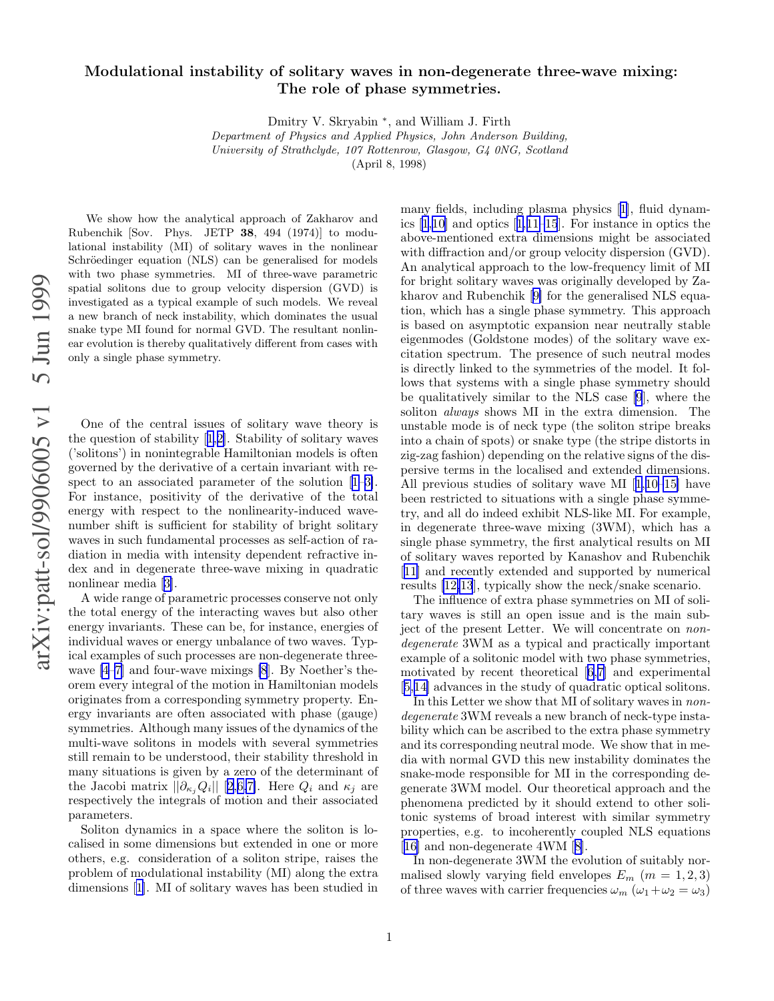## Modulational instability of solitary waves in non-degenerate three-wave mixing: The role of phase symmetries.

Dmitry V. Skryabin ∗ , and William J. Firth

Department of Physics and Applied Physics, John Anderson Building, University of Strathclyde, 107 Rottenrow, Glasgow, G4 0NG, Scotland (April 8, 1998)

We show how the analytical approach of Zakharov and Rubenchik [Sov. Phys. JETP 38, 494 (1974)] to modulational instability (MI) of solitary waves in the nonlinear Schröedinger equation (NLS) can be generalised for models with two phase symmetries. MI of three-wave parametric spatial solitons due to group velocity dispersion (GVD) is investigated as a typical example of such models. We reveal a new branch of neck instability, which dominates the usual snake type MI found for normal GVD. The resultant nonlinear evolution is thereby qualitatively different from cases with only a single phase symmetry.

One of the central issues of solitary wave theory is the question of stability[[1,2\]](#page-2-0). Stability of solitary wave s ('solitons') in nonintegrable Hamiltonian models is often governed by the derivative of a certain invariant with respectto an associated parameter of the solution  $[1-3]$ . For instance, positivity of the derivative of the total energy with respect to the nonlinearity-induced wavenumber shift is sufficient for stability of bright solitary waves in such fundamental processes as self-action of radiation in media with intensity dependent refractive index and in degenerate three-wave mixing in quadratic nonlinear media[[3\]](#page-2-0).

A wide range of parametric processes conserve not only the total energy of the interacting waves but also other energy invariants. These can be, for instance, energies of individual waves or energy unbalance of two waves. Typical examples of such processes are non-degenerate threewave [\[4–7](#page-2-0)] and four-wave mixings [\[8](#page-2-0)]. By Noether's theorem every integral of the motion in Hamiltonian models originates from a corresponding symmetry property. Energy invariants are often associated with phase (gauge) symmetries. Although many issues of the dynamics of the multi-wave solitons in models with several symmetries still remain to be understood, their stability threshold in many situations is given by a zero of the determinant of the Jacobi matrix  $||\partial_{\kappa_j} Q_i||$  [[2,6,7\]](#page-2-0). Here  $Q_i$  and  $\kappa_j$  are respectively the integrals of motion and their associated parameters.

Soliton dynamics in a space where the soliton is localised in some dimensions but extended in one or more others, e.g. consideration of a soliton stripe, raises the problem of modulational instability (MI) along the extra dimensions[[1\]](#page-2-0). MI of solitary waves has been studied in

many fields, including plasma physics[[1\]](#page-2-0), fluid dynamics [\[1](#page-2-0),[10](#page-2-0)] and optics[[1,11–15](#page-2-0)]. For instance in optics the above-mentioned extra dimensions might be associated with diffraction and/or group velocity dispersion (GVD). An analytical approach to the low-frequency limit of MI for bright solitary waves was originally developed by Zakharov and Rubenchik[[9\]](#page-2-0) for the generalised NLS equation, which has a single phase symmetry. This approach is based on asymptotic expansion near neutrally stable eigenmodes (Goldstone modes) of the solitary wave excitation spectrum. The presence of such neutral modes is directly linked to the symmetries of the model. It follows that systems with a single phase symmetry should be qualitatively similar to the NLS case [\[9](#page-2-0)], where the soliton always shows MI in the extra dimension. The unstable mode is of neck type (the soliton stripe breaks into a chain of spots) or snake type (the stripe distorts in zig-zag fashion) depending on the relative signs of the dispersive terms in the localised and extended dimensions. All previous studies of solitary wave MI[[1,10–15\]](#page-2-0) have been restricted to situations with a single phase symmetry, and all do indeed exhibit NLS-like MI. For example, in degenerate three-wave mixing (3WM), which has a single phase symmetry, the first analytical results on MI of solitary waves reported by Kanashov and Rubenchik [[11\]](#page-2-0) and recently extended and supported by numerical results [\[12,13](#page-2-0)], typically show the neck/snake scenario.

The influence of extra phase symmetries on MI of solitary waves is still an open issue and is the main subject of the present Letter. We will concentrate on nondegenerate 3WM as a typical and practically important example of a solitonic model with two phase symmetries, motivated by recent theoretical[[6,7\]](#page-2-0) and experimental [[5,14\]](#page-2-0) advances in the study of quadratic optical solitons.

In this Letter we show that MI of solitary waves in nondegenerate 3WM reveals a new branch of neck-type instability which can be ascribed to the extra phase symmetry and its corresponding neutral mode. We show that in media with normal GVD this new instability dominates the snake-mode responsible for MI in the corresponding degenerate 3WM model. Our theoretical approach and the phenomena predicted by it should extend to other solitonic systems of broad interest with similar symmetry properties, e.g. to incoherently coupled NLS equations [[16\]](#page-2-0) and non-degenerate 4WM[[8\]](#page-2-0).

In non-degenerate 3WM the evolution of suitably normalised slowly varying field envelopes  $E_m$   $(m = 1, 2, 3)$ of three waves with carrier frequencies  $\omega_m$  ( $\omega_1 + \omega_2 = \omega_3$ )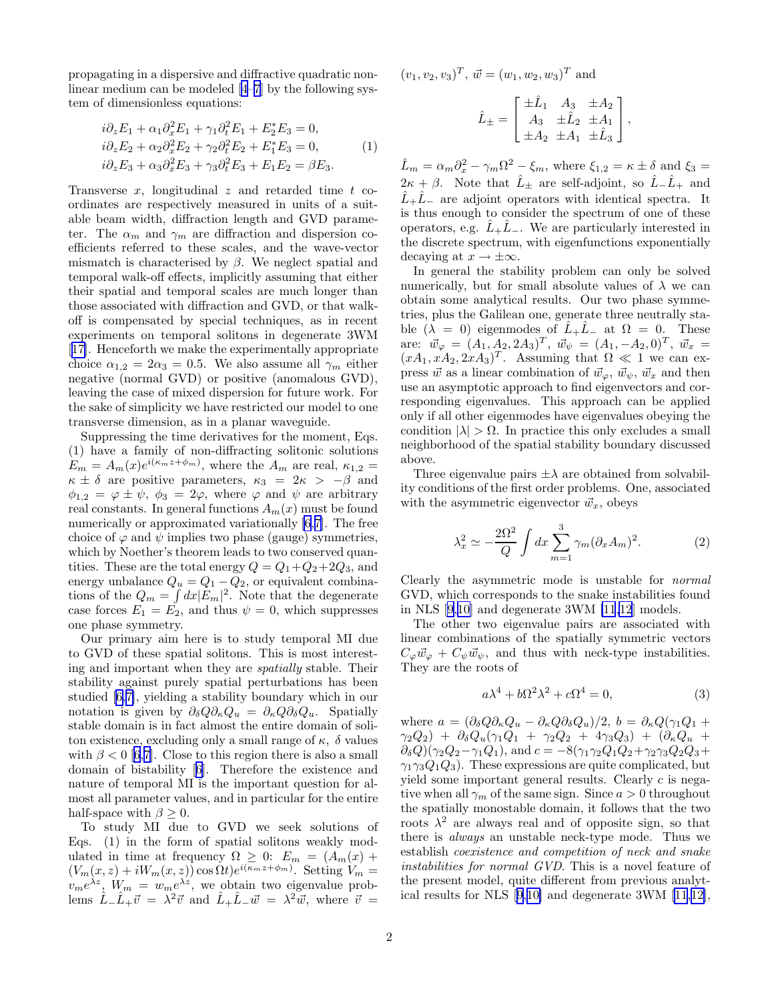propagating in a dispersive and diffractive quadratic nonlinear medium can be modeled [\[4–7](#page-2-0)] by the following system of dimensionless equations:

$$
i\partial_z E_1 + \alpha_1 \partial_x^2 E_1 + \gamma_1 \partial_t^2 E_1 + E_2^* E_3 = 0,
$$
  
\n
$$
i\partial_z E_2 + \alpha_2 \partial_x^2 E_2 + \gamma_2 \partial_t^2 E_2 + E_1^* E_3 = 0,
$$
  
\n
$$
i\partial_z E_3 + \alpha_3 \partial_x^2 E_3 + \gamma_3 \partial_t^2 E_3 + E_1 E_2 = \beta E_3.
$$
\n(1)

Transverse x, longitudinal z and retarded time t coordinates are respectively measured in units of a suitable beam width, diffraction length and GVD parameter. The  $\alpha_m$  and  $\gamma_m$  are diffraction and dispersion coefficients referred to these scales, and the wave-vector mismatch is characterised by  $\beta$ . We neglect spatial and temporal walk-off effects, implicitly assuming that either their spatial and temporal scales are much longer than those associated with diffraction and GVD, or that walkoff is compensated by special techniques, as in recent experiments on temporal solitons in degenerate 3WM [[17\]](#page-2-0). Henceforth we make the experimentally appropriate choice  $\alpha_{1,2} = 2\alpha_3 = 0.5$ . We also assume all  $\gamma_m$  either negative (normal GVD) or positive (anomalous GVD), leaving the case of mixed dispersion for future work. For the sake of simplicity we have restricted our model to one transverse dimension, as in a planar waveguide.

Suppressing the time derivatives for the moment, Eqs. (1) have a family of non-diffracting solitonic solutions  $E_m = A_m(x)e^{i(\kappa_m z + \phi_m)}$ , where the  $A_m$  are real,  $\kappa_{1,2} =$  $\kappa \pm \delta$  are positive parameters,  $\kappa_3 = 2\kappa > -\beta$  and  $\phi_{1,2} = \varphi \pm \psi$ ,  $\phi_3 = 2\varphi$ , where  $\varphi$  and  $\psi$  are arbitrary real constants. In general functions  $A_m(x)$  must be found numerically or approximated variationally [\[6](#page-2-0),[7\]](#page-2-0). The free choice of  $\varphi$  and  $\psi$  implies two phase (gauge) symmetries, which by Noether's theorem leads to two conserved quantities. These are the total energy  $Q = Q_1 + Q_2 + 2Q_3$ , and energy unbalance  $Q_u = Q_1 - Q_2$ , or equivalent combinations of the  $Q_m = \int dx |E_m|^2$ . Note that the degenerate case forces  $E_1 = E_2$ , and thus  $\psi = 0$ , which suppresses one phase symmetry.

Our primary aim here is to study temporal MI due to GVD of these spatial solitons. This is most interesting and important when they are spatially stable. Their stability against purely spatial perturbations has been studied[[6,7\]](#page-2-0), yielding a stability boundary which in our notation is given by  $\partial_{\delta}Q\partial_{\kappa}Q_u = \partial_{\kappa}Q\partial_{\delta}Q_u$ . Spatially stable domain is in fact almost the entire domain of soliton existence, excluding only a small range of  $\kappa$ ,  $\delta$  values with  $\beta < 0$  [\[6](#page-2-0),[7\]](#page-2-0). Close to this region there is also a small domain of bistability[[6](#page-2-0)]. Therefore the existence and nature of temporal MI is the important question for almost all parameter values, and in particular for the entire half-space with  $\beta \geq 0$ .

To study MI due to GVD we seek solutions of Eqs. (1) in the form of spatial solitons weakly modulated in time at frequency  $\Omega \geq 0$ :  $E_m = (A_m(x) +$  $(V_m(x, z) + iW_m(x, z)) \cos \Omega t e^{i(\kappa_m z + \phi_m)}$ . Setting  $V_m =$  $v_m e^{\lambda z}$ ,  $W_m = w_m e^{\lambda z}$ , we obtain two eigenvalue problems  $\hat{L}_-\hat{L}_+\vec{v} = \lambda^2\vec{v}$  and  $\hat{L}_+\hat{L}_-\vec{w} = \lambda^2\vec{w}$ , where  $\vec{v} =$ 

 $(v_1, v_2, v_3)^T$ ,  $\vec{w} = (w_1, w_2, w_3)^T$  and

$$
\hat{L}_{\pm} = \begin{bmatrix} \pm \hat{L}_1 & A_3 & \pm A_2 \\ A_3 & \pm \hat{L}_2 & \pm A_1 \\ \pm A_2 & \pm A_1 & \pm \hat{L}_3 \end{bmatrix},
$$

 $\hat{L}_m = \alpha_m \partial_x^2 - \gamma_m \Omega^2 - \xi_m$ , where  $\xi_{1,2} = \kappa \pm \delta$  and  $\xi_3 = \frac{\omega_m \omega_m}{\omega_m}$  $2\kappa + \beta$ . Note that  $\hat{L}_\pm$  are self-adjoint, so  $\hat{L}_-\hat{L}_+$  and  $\tilde{L}_+ \tilde{L}_-$  are adjoint operators with identical spectra. It is thus enough to consider the spectrum of one of these operators, e.g.  $\hat{L}_+\hat{L}_-$ . We are particularly interested in the discrete spectrum, with eigenfunctions exponentially decaying at  $x \to \pm \infty$ .

In general the stability problem can only be solved numerically, but for small absolute values of  $\lambda$  we can obtain some analytical results. Our two phase symmetries, plus the Galilean one, generate three neutrally stable  $(\lambda = 0)$  eigenmodes of  $\hat{L}_+ \hat{L}_-$  at  $\Omega = 0$ . These are:  $\vec{w}_{\varphi} = (A_1, A_2, 2A_3)^T$ ,  $\vec{w}_{\psi} = (A_1, -A_2, 0)^T$ ,  $\vec{w}_x =$  $(xA_1, xA_2, 2xA_3)^T$ . Assuming that  $\Omega \ll 1$  we can express  $\vec{w}$  as a linear combination of  $\vec{w}_{\varphi}, \vec{w}_{\psi}, \vec{w}_x$  and then use an asymptotic approach to find eigenvectors and corresponding eigenvalues. This approach can be applied only if all other eigenmodes have eigenvalues obeying the condition  $|\lambda| > \Omega$ . In practice this only excludes a small neighborhood of the spatial stability boundary discussed above.

Three eigenvalue pairs  $\pm \lambda$  are obtained from solvability conditions of the first order problems. One, associated with the asymmetric eigenvector  $\vec{w}_x$ , obeys

$$
\lambda_x^2 \simeq -\frac{2\Omega^2}{Q} \int dx \sum_{m=1}^3 \gamma_m (\partial_x A_m)^2.
$$
 (2)

Clearly the asymmetric mode is unstable for normal GVD, which corresponds to the snake instabilities found in NLS [\[9](#page-2-0),[10\]](#page-2-0) and degenerate 3WM [\[11,12](#page-2-0)] models.

The other two eigenvalue pairs are associated with linear combinations of the spatially symmetric vectors  $C_{\varphi}\vec{w}_{\varphi}+C_{\psi}\vec{w}_{\psi}$ , and thus with neck-type instabilities. They are the roots of

$$
a\lambda^4 + b\Omega^2\lambda^2 + c\Omega^4 = 0,\t\t(3)
$$

where  $a = (\partial_{\delta}Q\partial_{\kappa}Q_u - \partial_{\kappa}Q\partial_{\delta}Q_u)/2$ ,  $b = \partial_{\kappa}Q(\gamma_1Q_1 + \gamma_2Q_0)$  $\gamma_2Q_2$ ) +  $\partial_{\delta}Q_u(\gamma_1Q_1 + \gamma_2Q_2 + 4\gamma_3Q_3)$  +  $(\partial_{\kappa}Q_u$  +  $\partial_{\delta}Q$ )( $\gamma_2Q_2-\gamma_1Q_1$ ), and  $c = -8(\gamma_1\gamma_2Q_1Q_2+\gamma_2\gamma_3Q_2Q_3 +$  $\gamma_1 \gamma_3 Q_1 Q_3$ . These expressions are quite complicated, but yield some important general results. Clearly c is negative when all  $\gamma_m$  of the same sign. Since  $a > 0$  throughout the spatially monostable domain, it follows that the two roots  $\lambda^2$  are always real and of opposite sign, so that there is always an unstable neck-type mode. Thus we establish coexistence and competition of neck and snake instabilities for normal GVD. This is a novel feature of the present model, quite different from previous analytical results for NLS[[9](#page-2-0),[10\]](#page-2-0) and degenerate 3WM[[11](#page-2-0),[12\]](#page-2-0),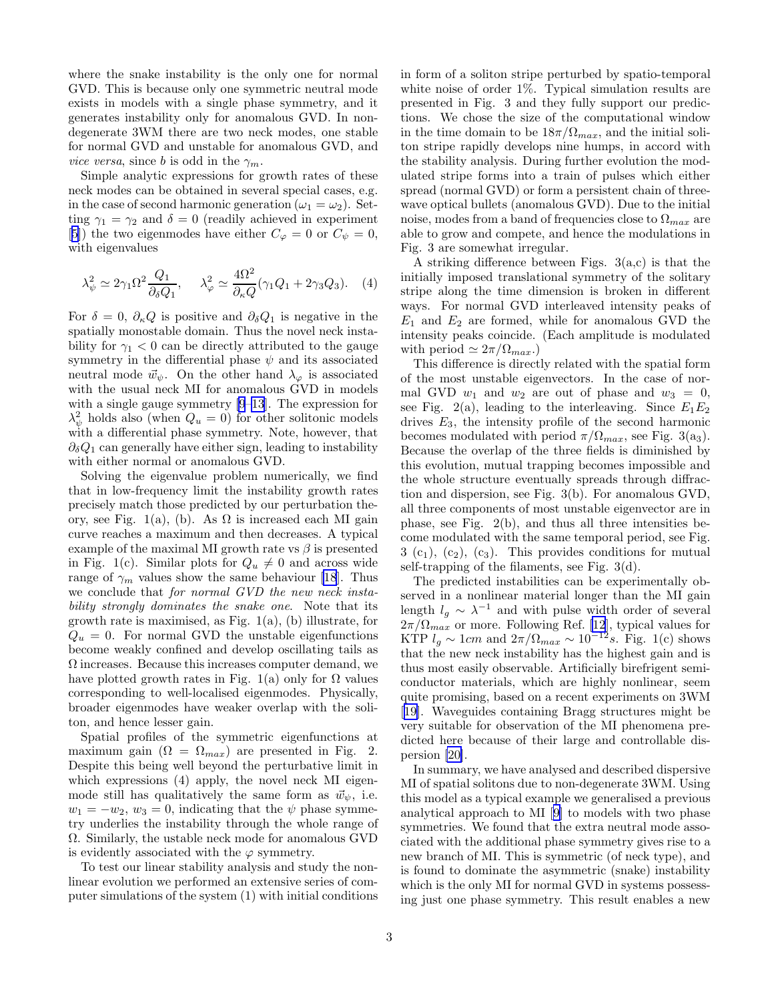<span id="page-2-0"></span>where the snake instability is the only one for normal GVD. This is because only one symmetric neutral mode exists in models with a single phase symmetry, and it generates instability only for anomalous GVD. In nondegenerate 3WM there are two neck modes, one stable for normal GVD and unstable for anomalous GVD, and vice versa, since b is odd in the  $\gamma_m$ .

Simple analytic expressions for growth rates of these neck modes can be obtained in several special cases, e.g. in the case of second harmonic generation  $(\omega_1 = \omega_2)$ . Setting  $\gamma_1 = \gamma_2$  and  $\delta = 0$  (readily achieved in experiment [5]) the two eigenmodes have either  $C_{\varphi} = 0$  or  $C_{\psi} = 0$ , with eigenvalues

$$
\lambda_{\psi}^{2} \simeq 2\gamma_{1}\Omega^{2}\frac{Q_{1}}{\partial_{\delta}Q_{1}}, \quad \lambda_{\varphi}^{2} \simeq \frac{4\Omega^{2}}{\partial_{\kappa}Q}(\gamma_{1}Q_{1} + 2\gamma_{3}Q_{3}). \quad (4)
$$

For  $\delta = 0$ ,  $\partial_{\kappa} Q$  is positive and  $\partial_{\delta} Q_1$  is negative in the spatially monostable domain. Thus the novel neck instability for  $\gamma_1 < 0$  can be directly attributed to the gauge symmetry in the differential phase  $\psi$  and its associated neutral mode  $\vec{w}_{\psi}$ . On the other hand  $\lambda_{\varphi}$  is associated with the usual neck MI for anomalous GVD in models with a single gauge symmetry [9–13]. The expression for  $\lambda_{\psi}^{2}$  holds also (when  $Q_{u} = 0$ ) for other solitonic models with a differential phase symmetry. Note, however, that  $\partial_{\delta}Q_1$  can generally have either sign, leading to instability with either normal or anomalous GVD.

Solving the eigenvalue problem numerically, we find that in low-frequency limit the instability growth rates precisely match those predicted by our perturbation theory, see Fig. 1(a), (b). As  $\Omega$  is increased each MI gain curve reaches a maximum and then decreases. A typical example of the maximal MI growth rate vs  $\beta$  is presented in Fig. 1(c). Similar plots for  $Q_u \neq 0$  and across wide range of  $\gamma_m$  values show the same behaviour [18]. Thus we conclude that for normal GVD the new neck instability strongly dominates the snake one. Note that its growth rate is maximised, as Fig.  $1(a)$ , (b) illustrate, for  $Q_u = 0$ . For normal GVD the unstable eigenfunctions become weakly confined and develop oscillating tails as  $\Omega$  increases. Because this increases computer demand, we have plotted growth rates in Fig. 1(a) only for  $\Omega$  values corresponding to well-localised eigenmodes. Physically, broader eigenmodes have weaker overlap with the soliton, and hence lesser gain.

Spatial profiles of the symmetric eigenfunctions at maximum gain  $(\Omega = \Omega_{max})$  are presented in Fig. 2. Despite this being well beyond the perturbative limit in which expressions (4) apply, the novel neck MI eigenmode still has qualitatively the same form as  $\vec{w}_\psi$ , i.e.  $w_1 = -w_2, w_3 = 0$ , indicating that the  $\psi$  phase symmetry underlies the instability through the whole range of Ω. Similarly, the ustable neck mode for anomalous GVD is evidently associated with the  $\varphi$  symmetry.

To test our linear stability analysis and study the nonlinear evolution we performed an extensive series of computer simulations of the system (1) with initial conditions in form of a soliton stripe perturbed by spatio-temporal white noise of order 1%. Typical simulation results are presented in Fig. 3 and they fully support our predictions. We chose the size of the computational window in the time domain to be  $18\pi/\Omega_{max}$ , and the initial soliton stripe rapidly develops nine humps, in accord with the stability analysis. During further evolution the modulated stripe forms into a train of pulses which either spread (normal GVD) or form a persistent chain of threewave optical bullets (anomalous GVD). Due to the initial noise, modes from a band of frequencies close to  $\Omega_{max}$  are able to grow and compete, and hence the modulations in Fig. 3 are somewhat irregular.

A striking difference between Figs. 3(a,c) is that the initially imposed translational symmetry of the solitary stripe along the time dimension is broken in different ways. For normal GVD interleaved intensity peaks of  $E_1$  and  $E_2$  are formed, while for anomalous GVD the intensity peaks coincide. (Each amplitude is modulated with period  $\simeq 2\pi/\Omega_{max}$ .

This difference is directly related with the spatial form of the most unstable eigenvectors. In the case of normal GVD  $w_1$  and  $w_2$  are out of phase and  $w_3 = 0$ , see Fig. 2(a), leading to the interleaving. Since  $E_1E_2$ drives  $E_3$ , the intensity profile of the second harmonic becomes modulated with period  $\pi/\Omega_{max}$ , see Fig. 3(a<sub>3</sub>). Because the overlap of the three fields is diminished by this evolution, mutual trapping becomes impossible and the whole structure eventually spreads through diffraction and dispersion, see Fig. 3(b). For anomalous GVD, all three components of most unstable eigenvector are in phase, see Fig. 2(b), and thus all three intensities become modulated with the same temporal period, see Fig.  $3$  (c<sub>1</sub>), (c<sub>2</sub>), (c<sub>3</sub>). This provides conditions for mutual self-trapping of the filaments, see Fig. 3(d).

The predicted instabilities can be experimentally observed in a nonlinear material longer than the MI gain length  $l_g \sim \lambda^{-1}$  and with pulse width order of several  $2\pi/\Omega_{max}$  or more. Following Ref. [12], typical values for KTP  $l_g \sim 1$ cm and  $2\pi/\Omega_{max} \sim 10^{-12} s$ . Fig. 1(c) shows that the new neck instability has the highest gain and is thus most easily observable. Artificially birefrigent semiconductor materials, which are highly nonlinear, seem quite promising, based on a recent experiments on 3WM [19]. Waveguides containing Bragg structures might be very suitable for observation of the MI phenomena predicted here because of their large and controllable dispersion [20].

In summary, we have analysed and described dispersive MI of spatial solitons due to non-degenerate 3WM. Using this model as a typical example we generalised a previous analytical approach to MI [9] to models with two phase symmetries. We found that the extra neutral mode associated with the additional phase symmetry gives rise to a new branch of MI. This is symmetric (of neck type), and is found to dominate the asymmetric (snake) instability which is the only MI for normal GVD in systems possessing just one phase symmetry. This result enables a new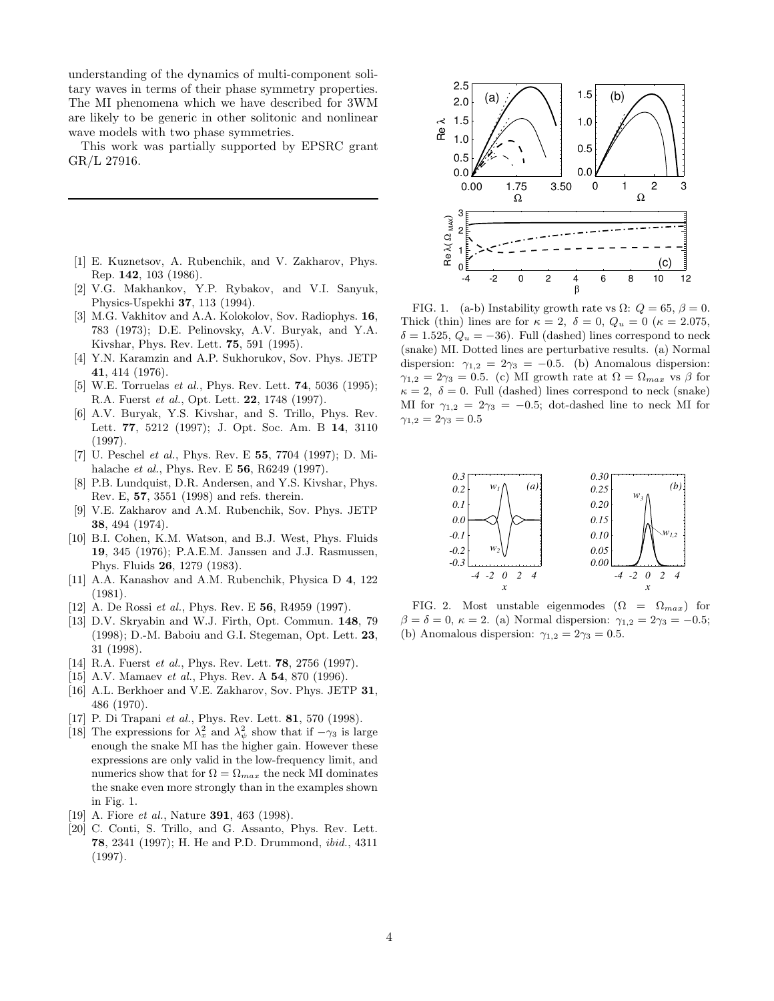understanding of the dynamics of multi-component solitary waves in terms of their phase symmetry properties. The MI phenomena which we have described for 3WM are likely to be generic in other solitonic and nonlinear wave models with two phase symmetries.

This work was partially supported by EPSRC grant GR/L 27916.

- [1] E. Kuznetsov, A. Rubenchik, and V. Zakharov, Phys. Rep. 142, 103 (1986).
- [2] V.G. Makhankov, Y.P. Rybakov, and V.I. Sanyuk, Physics-Uspekhi 37, 113 (1994).
- [3] M.G. Vakhitov and A.A. Kolokolov, Sov. Radiophys. **16**, 783 (1973); D.E. Pelinovsky, A.V. Buryak, and Y.A. Kivshar, Phys. Rev. Lett. 75, 591 (1995).
- [4] Y.N. Karamzin and A.P. Sukhorukov, Sov. Phys. JETP 41, 414 (1976).
- [5] W.E. Torruelas *et al.*, Phys. Rev. Lett. **74**, 5036 (1995); R.A. Fuerst et al., Opt. Lett. 22, 1748 (1997).
- [6] A.V. Buryak, Y.S. Kivshar, and S. Trillo, Phys. Rev. Lett. 77, 5212 (1997); J. Opt. Soc. Am. B 14, 3110 (1997).
- [7] U. Peschel et al., Phys. Rev. E 55, 7704 (1997); D. Mihalache *et al.*, Phys. Rev. E **56**, R6249 (1997).
- [8] P.B. Lundquist, D.R. Andersen, and Y.S. Kivshar, Phys. Rev. E, 57, 3551 (1998) and refs. therein.
- [9] V.E. Zakharov and A.M. Rubenchik, Sov. Phys. JETP 38, 494 (1974).
- [10] B.I. Cohen, K.M. Watson, and B.J. West, Phys. Fluids 19, 345 (1976); P.A.E.M. Janssen and J.J. Rasmussen, Phys. Fluids 26, 1279 (1983).
- [11] A.A. Kanashov and A.M. Rubenchik, Physica D 4, 122 (1981).
- [12] A. De Rossi *et al.*, Phys. Rev. E **56**, R4959 (1997).
- [13] D.V. Skryabin and W.J. Firth, Opt. Commun. 148, 79 (1998); D.-M. Baboiu and G.I. Stegeman, Opt. Lett. 23, 31 (1998).
- [14] R.A. Fuerst *et al.*, Phys. Rev. Lett. **78**, 2756 (1997).
- [15] A.V. Mamaev *et al.*, Phys. Rev. A **54**, 870 (1996).
- [16] A.L. Berkhoer and V.E. Zakharov, Sov. Phys. JETP 31, 486 (1970).
- [17] P. Di Trapani et al., Phys. Rev. Lett. **81**, 570 (1998).
- [18] The expressions for  $\lambda_x^2$  and  $\lambda_y^2$  show that if  $-\gamma_3$  is large enough the snake MI has the higher gain. However these expressions are only valid in the low-frequency limit, and numerics show that for  $\Omega = \Omega_{max}$  the neck MI dominates the snake even more strongly than in the examples shown in Fig. 1.
- [19] A. Fiore *et al.*, Nature **391**, 463 (1998).
- [20] C. Conti, S. Trillo, and G. Assanto, Phys. Rev. Lett. 78, 2341 (1997); H. He and P.D. Drummond, ibid., 4311 (1997).



FIG. 1. (a-b) Instability growth rate vs  $\Omega$ :  $Q = 65$ ,  $\beta = 0$ . Thick (thin) lines are for  $\kappa = 2$ ,  $\delta = 0$ ,  $Q_u = 0$  ( $\kappa = 2.075$ ,  $\delta = 1.525, Q_u = -36$ . Full (dashed) lines correspond to neck (snake) MI. Dotted lines are perturbative results. (a) Normal dispersion:  $\gamma_{1,2} = 2\gamma_3 = -0.5$ . (b) Anomalous dispersion:  $\gamma_{1,2} = 2\gamma_3 = 0.5$ . (c) MI growth rate at  $\Omega = \Omega_{max}$  vs  $\beta$  for  $\kappa = 2, \delta = 0$ . Full (dashed) lines correspond to neck (snake) MI for  $\gamma_{1,2} = 2\gamma_3 = -0.5$ ; dot-dashed line to neck MI for  $\gamma_{1,2} = 2\gamma_3 = 0.5$ 



FIG. 2. Most unstable eigenmodes  $(\Omega = \Omega_{max})$  for  $\beta = \delta = 0$ ,  $\kappa = 2$ . (a) Normal dispersion:  $\gamma_{1,2} = 2\gamma_3 = -0.5$ ; (b) Anomalous dispersion:  $\gamma_{1,2} = 2\gamma_3 = 0.5$ .